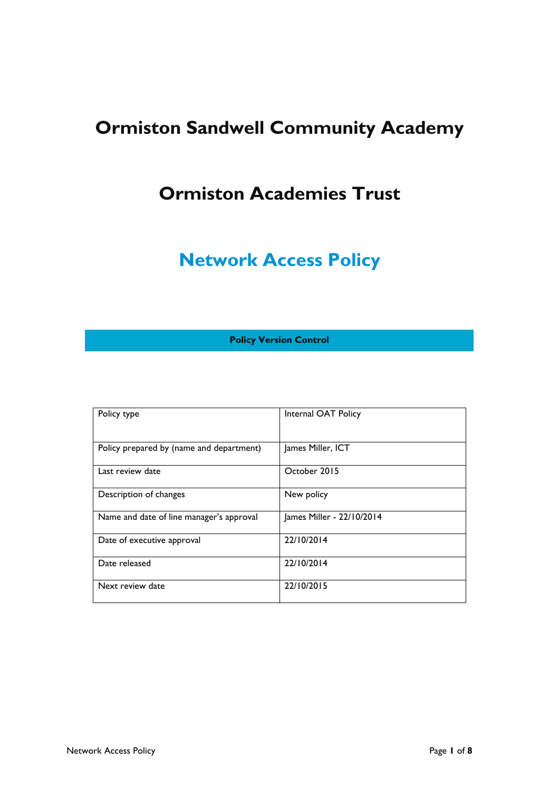# **Ormiston Sandwell Community Academy**

### **Ormiston Academies Trust**

## **Network Access Policy**

**Policy Version Control**

| Policy type                              | Internal OAT Policy       |
|------------------------------------------|---------------------------|
| Policy prepared by (name and department) | James Miller, ICT         |
| Last review date                         | October 2015              |
| Description of changes                   | New policy                |
| Name and date of line manager's approval | James Miller - 22/10/2014 |
| Date of executive approval               | 22/10/2014                |
| Date released                            | 22/10/2014                |
| Next review date                         | 22/10/2015                |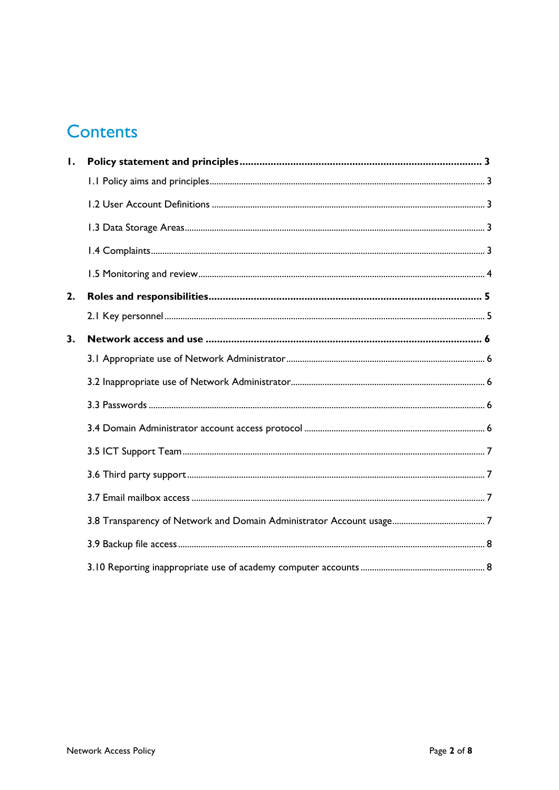### **Contents**

| Ι. |  |
|----|--|
|    |  |
|    |  |
|    |  |
|    |  |
|    |  |
| 2. |  |
|    |  |
| 3. |  |
|    |  |
|    |  |
|    |  |
|    |  |
|    |  |
|    |  |
|    |  |
|    |  |
|    |  |
|    |  |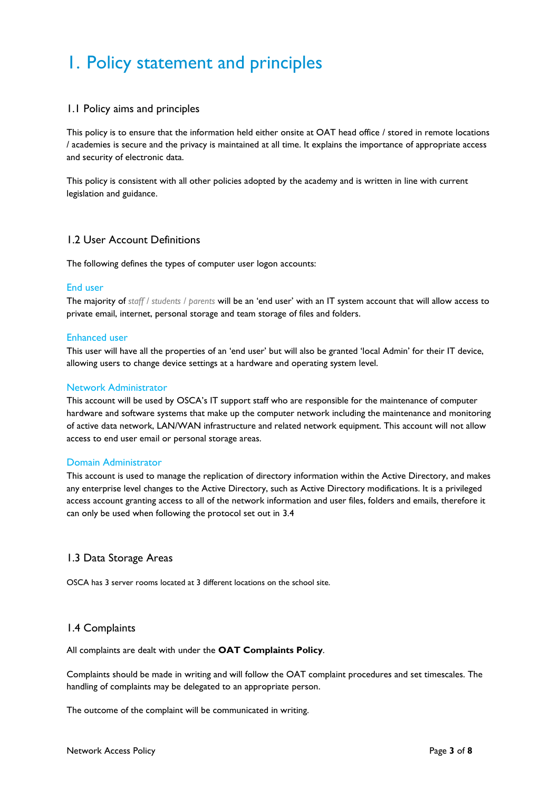## <span id="page-2-0"></span>1. Policy statement and principles

### <span id="page-2-1"></span>1.1 Policy aims and principles

This policy is to ensure that the information held either onsite at OAT head office / stored in remote locations / academies is secure and the privacy is maintained at all time. It explains the importance of appropriate access and security of electronic data.

This policy is consistent with all other policies adopted by the academy and is written in line with current legislation and guidance.

### <span id="page-2-2"></span>1.2 User Account Definitions

The following defines the types of computer user logon accounts:

### End user

The majority of *staff / students / parents* will be an 'end user' with an IT system account that will allow access to private email, internet, personal storage and team storage of files and folders.

### Enhanced user

This user will have all the properties of an 'end user' but will also be granted 'local Admin' for their IT device, allowing users to change device settings at a hardware and operating system level.

### Network Administrator

This account will be used by OSCA's IT support staff who are responsible for the maintenance of computer hardware and software systems that make up the computer network including the maintenance and monitoring of active data network, LAN/WAN infrastructure and related network equipment. This account will not allow access to end user email or personal storage areas.

#### Domain Administrator

This account is used to manage the replication of directory information within the Active Directory, and makes any enterprise level changes to the Active Directory, such as Active Directory modifications. It is a privileged access account granting access to all of the network information and user files, folders and emails, therefore it can only be used when following the protocol set out in 3.4

### <span id="page-2-3"></span>1.3 Data Storage Areas

OSCA has 3 server rooms located at 3 different locations on the school site.

### <span id="page-2-4"></span>1.4 Complaints

All complaints are dealt with under the **OAT Complaints Policy**.

Complaints should be made in writing and will follow the OAT complaint procedures and set timescales. The handling of complaints may be delegated to an appropriate person.

The outcome of the complaint will be communicated in writing.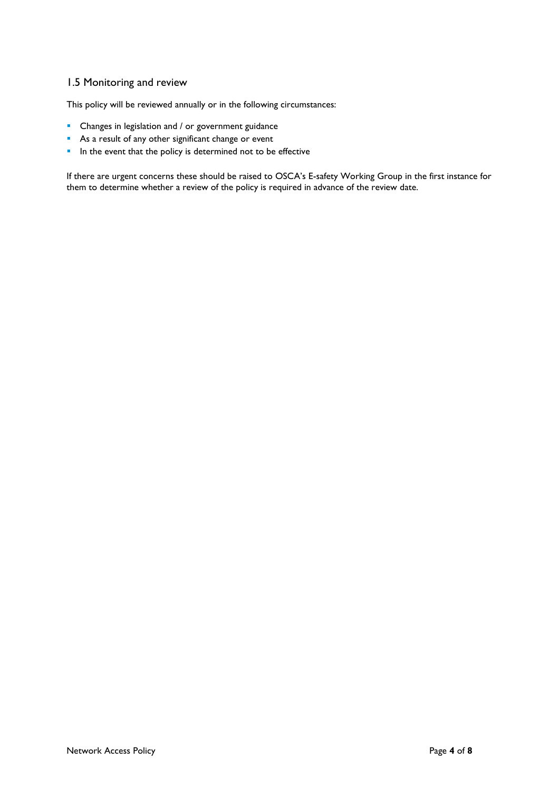### <span id="page-3-0"></span>1.5 Monitoring and review

This policy will be reviewed annually or in the following circumstances:

- **•** Changes in legislation and / or government guidance
- As a result of any other significant change or event
- In the event that the policy is determined not to be effective

If there are urgent concerns these should be raised to OSCA's E-safety Working Group in the first instance for them to determine whether a review of the policy is required in advance of the review date.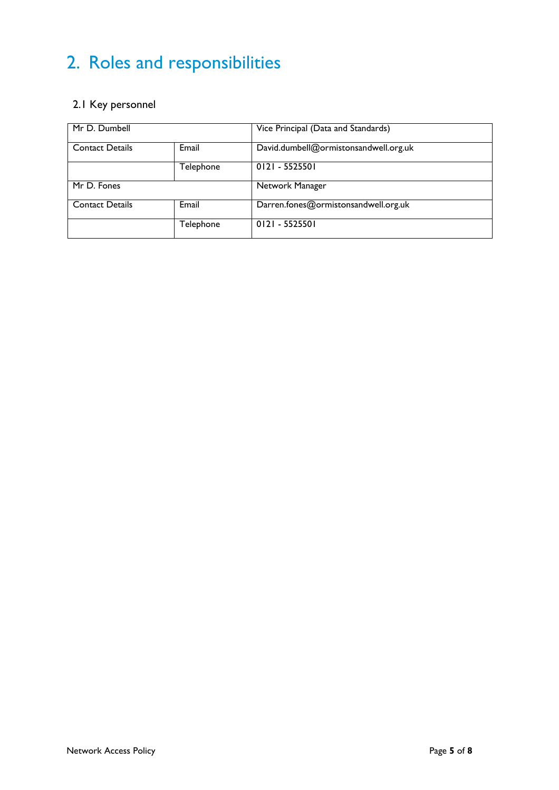# <span id="page-4-0"></span>2. Roles and responsibilities

### <span id="page-4-1"></span>2.1 Key personnel

| Mr D. Dumbell          |           | Vice Principal (Data and Standards)   |
|------------------------|-----------|---------------------------------------|
| <b>Contact Details</b> | Email     | David.dumbell@ormistonsandwell.org.uk |
|                        | Telephone | 0121 - 5525501                        |
| Mr D. Fones            |           | Network Manager                       |
| <b>Contact Details</b> | Email     | Darren.fones@ormistonsandwell.org.uk  |
|                        | Telephone | $0121 - 5525501$                      |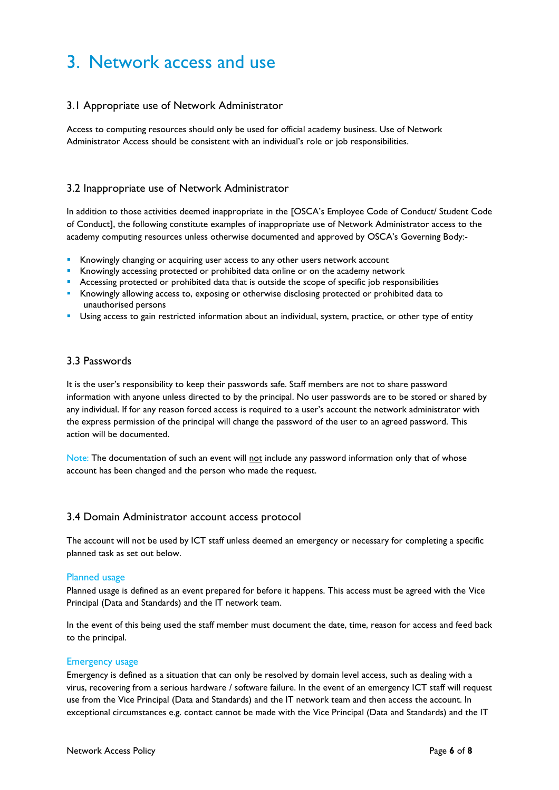### <span id="page-5-0"></span>3. Network access and use

### <span id="page-5-1"></span>3.1 Appropriate use of Network Administrator

Access to computing resources should only be used for official academy business. Use of Network Administrator Access should be consistent with an individual's role or job responsibilities.

### <span id="page-5-2"></span>3.2 Inappropriate use of Network Administrator

In addition to those activities deemed inappropriate in the [OSCA's Employee Code of Conduct/ Student Code of Conduct], the following constitute examples of inappropriate use of Network Administrator access to the academy computing resources unless otherwise documented and approved by OSCA's Governing Body:-

- **Knowingly changing or acquiring user access to any other users network account**
- Knowingly accessing protected or prohibited data online or on the academy network
- **Accessing protected or prohibited data that is outside the scope of specific job responsibilities**
- Knowingly allowing access to, exposing or otherwise disclosing protected or prohibited data to unauthorised persons
- Using access to gain restricted information about an individual, system, practice, or other type of entity

### <span id="page-5-3"></span>3.3 Passwords

It is the user's responsibility to keep their passwords safe. Staff members are not to share password information with anyone unless directed to by the principal. No user passwords are to be stored or shared by any individual. If for any reason forced access is required to a user's account the network administrator with the express permission of the principal will change the password of the user to an agreed password. This action will be documented.

Note: The documentation of such an event will not include any password information only that of whose account has been changed and the person who made the request.

### <span id="page-5-4"></span>3.4 Domain Administrator account access protocol

The account will not be used by ICT staff unless deemed an emergency or necessary for completing a specific planned task as set out below.

#### Planned usage

Planned usage is defined as an event prepared for before it happens. This access must be agreed with the Vice Principal (Data and Standards) and the IT network team.

In the event of this being used the staff member must document the date, time, reason for access and feed back to the principal.

#### Emergency usage

Emergency is defined as a situation that can only be resolved by domain level access, such as dealing with a virus, recovering from a serious hardware / software failure. In the event of an emergency ICT staff will request use from the Vice Principal (Data and Standards) and the IT network team and then access the account. In exceptional circumstances e.g. contact cannot be made with the Vice Principal (Data and Standards) and the IT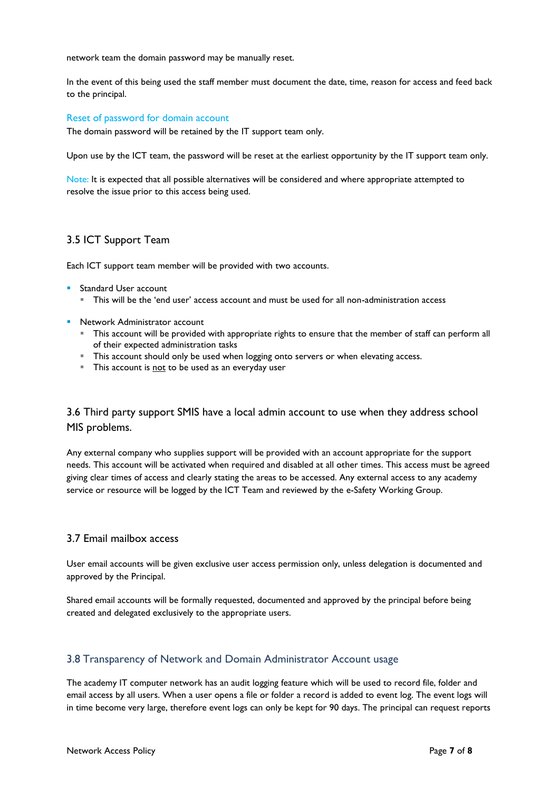network team the domain password may be manually reset.

In the event of this being used the staff member must document the date, time, reason for access and feed back to the principal.

#### Reset of password for domain account

The domain password will be retained by the IT support team only.

Upon use by the ICT team, the password will be reset at the earliest opportunity by the IT support team only.

Note: It is expected that all possible alternatives will be considered and where appropriate attempted to resolve the issue prior to this access being used.

### <span id="page-6-0"></span>3.5 ICT Support Team

Each ICT support team member will be provided with two accounts.

- **Standard User account** 
	- This will be the 'end user' access account and must be used for all non-administration access
- **Network Administrator account** 
	- This account will be provided with appropriate rights to ensure that the member of staff can perform all of their expected administration tasks
	- This account should only be used when logging onto servers or when elevating access.
	- This account is not to be used as an everyday user

### <span id="page-6-1"></span>3.6 Third party support SMIS have a local admin account to use when they address school MIS problems.

Any external company who supplies support will be provided with an account appropriate for the support needs. This account will be activated when required and disabled at all other times. This access must be agreed giving clear times of access and clearly stating the areas to be accessed. Any external access to any academy service or resource will be logged by the ICT Team and reviewed by the e-Safety Working Group.

### <span id="page-6-2"></span>3.7 Email mailbox access

User email accounts will be given exclusive user access permission only, unless delegation is documented and approved by the Principal.

Shared email accounts will be formally requested, documented and approved by the principal before being created and delegated exclusively to the appropriate users.

#### <span id="page-6-3"></span>3.8 Transparency of Network and Domain Administrator Account usage

The academy IT computer network has an audit logging feature which will be used to record file, folder and email access by all users. When a user opens a file or folder a record is added to event log. The event logs will in time become very large, therefore event logs can only be kept for 90 days. The principal can request reports